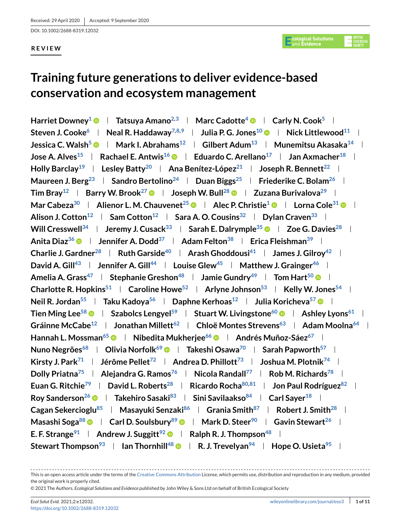DOI: 10.1002/2688-8319.12032

## **REVIEW**

# **Training future generations to deliver evidence-based conservation and ecosystem management**

**Harriet Downey<sup>1</sup> • Tatsuya Amano<sup>2,3</sup> And Marc Cadotte<sup>4</sup> • Carly N. Cook<sup>5</sup>** Steven J. Cooke<sup>6</sup> | Neal R. Haddaway<sup>7,8,9</sup> | Julia P. G. Jones<sup>10</sup> | Nick Littlewood<sup>11</sup> | **Jessica C. Walsh<sup>5</sup>**  $\bullet$  **| Mark I. Abrahams<sup>12</sup> | Gilbert Adum<sup>13</sup> | Munemitsu Akasaka<sup>14</sup> | Jose A. Alves**<sup>15</sup> **Rachael E. Antwis<sup>16</sup> ID Eduardo C. Arellano<sup>17</sup> ID Jan Axmacher<sup>18</sup> ID Holly Barclay**<sup>19</sup> **Lesley Batty**<sup>20</sup> **Ana Benítez-López**<sup>21</sup> **Joseph R. Bennett**<sup>22</sup> **L Maureen J. Berg**<sup>23</sup> **Sandro Bertolino**<sup>24</sup> **Duan Biggs**<sup>25</sup> **Friederike C. Bolam**<sup>26</sup> **F Tim Bray**<sup>12</sup> **Barry W. Brook<sup>27</sup> • Joseph W. Bull<sup>28</sup> • Zuzana Burivalova<sup>29</sup> | Mar Cabeza**<sup>30</sup> **Alienor L. M. Chauvenet**<sup>25</sup> **a Alec P. Christie<sup>1</sup> <b>a Alice** Cole<sup>31</sup> **a** A Alison J. Cotton<sup>12</sup> **Sam Cotton**<sup>12</sup> **Sara A. O. Cousins**<sup>32</sup> **Dylan Craven**<sup>33</sup> **D Will Cresswell**<sup>34</sup> **Jeremy J. Cusack**<sup>33</sup> **Sarah E. Dalrymple**<sup>35</sup>  $\bullet$  | Zoe G. Davies<sup>28</sup> | **Anita Dia[z36](#page-1-0) Jennifer A. Dod[d37](#page-1-0) Adam Felto[n38](#page-1-0) Erica Fleishma[n39](#page-1-0) Charlie J. Gardner**<sup>28</sup> **Ruth Garside<sup>40</sup> <b>Arash Ghoddousi**<sup>41</sup> **James J. Gilrov**<sup>42</sup> **L David A. Gill**<sup>43</sup> **Jennifer A. Gill**<sup>44</sup> **Louise Glew**<sup>45</sup> **Natthew J. Grainger**<sup>46</sup> l **Amelia A. Grass**<sup>47</sup> **Stephanie Greshon**<sup>48</sup> **Jamie Gundry**<sup>49</sup> **Tom Hart**<sup>50</sup> © I **Charlotte R. Hopkins**<sup>51</sup> **Caroline Howe**<sup>52</sup> **Arlyne Johnson**<sup>53</sup> **Kelly W. Jones**<sup>54</sup> **I Neil R. Jordan<sup>55</sup> | Taku Kadoya<sup>56</sup> | Daphne Kerhoas<sup>12</sup> | Julia Koricheva<sup>57</sup> © | Tien Ming Lee<sup>58</sup>**  $\bullet$  **| Szabolcs Lengyel<sup>59</sup> | Stuart W. Livingstone<sup>60</sup>**  $\bullet$  **| Ashley Lyons<sup>61</sup> | Gráinne McCabe**<sup>12</sup> **Jonathan Millett**<sup>62</sup> **L** Chloë Montes Strevens<sup>63</sup> L Adam Moolna<sup>64</sup> L **Hannah L. Mossman<sup>65</sup>**  $\bullet$  **| Nibedita Mukherjee<sup>66</sup>**  $\bullet$  **| Andrés Muñoz-Sáez<sup>67</sup> | Nuno Negrões<sup>68</sup> | Olivia Norfolk<sup>69</sup> © | Takeshi Osawa<sup>70</sup> | Sarah Papworth<sup>57</sup> | Kirsty J. Park**<sup>71</sup> **| Jérôme Pellet<sup>72</sup> | Andrea D. Phillott<sup>73</sup> | Joshua M. Plotnik<sup>74</sup> | Dolly Priatna**<sup>75</sup> **Alejandra G. Ramos**<sup>76</sup> **Alegional Randall**<sup>77</sup> **Rob M. Richards**<sup>78</sup> **Alegional Euan G. Ritchi[e79](#page-2-0) David L. Robert[s28](#page-1-0) Ricardo Roch[a80,](#page-2-0)[81](#page-3-0) Jon Paul Rodrígue[z82](#page-3-0) Roy Sanderson<sup>26</sup>**  $\bullet$  **| Takehiro Sasaki<sup>83</sup> | Sini Savilaakso<sup>84</sup> | Carl Sayer<sup>18</sup> | Cagan Sekercioglu<sup>85</sup> | Masayuki Senzaki<sup>86</sup> | Grania Smith<sup>87</sup> | Robert J. Smith<sup>28</sup> | Masashi Soga**<sup>88</sup>  $\bullet$  | Carl D. Soulsbury<sup>89</sup>  $\bullet$  | Mark D. Steer<sup>90</sup> | Gavin Stewart<sup>26</sup> | **E. F. Strange**<sup>91</sup> **Andrew J. Suggitt**<sup>92</sup> **e Ralph R. J. Thompson**<sup>48</sup> **l Stewart Thompson**<sup>93</sup> **I** lan Thornhill<sup>48</sup> **e I** R. J. Trevelyan<sup>94</sup> **I** Hope O. Usieta<sup>95</sup> I

This is an open access article under the terms of the [Creative Commons Attribution](http://creativecommons.org/licenses/by/4.0/) License, which permits use, distribution and reproduction in any medium, provided the original work is properly cited.

<sup>© 2021</sup> The Authors. *Ecological Solutions and Evidence* published by John Wiley & Sons Ltd on behalf of British Ecological Society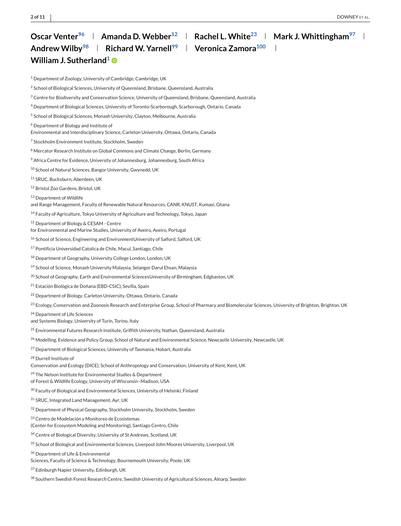## <span id="page-1-0"></span>**Oscar Venter<sup>96</sup>** Amanda D. Webber<sup>12</sup> **And Report L. White**<sup>23</sup> **Mark J. Whittingham**<sup>97</sup> **Andrew Wilb[y98](#page-3-0) Richard W. Yarnel[l99](#page-3-0) Veronica Zamor[a100](#page-3-0) William J. Sutherland<sup>1</sup> ®**

<sup>1</sup> Department of Zoology, University of Cambridge, Cambridge, UK

<sup>2</sup> School of Biological Sciences, University of Queensland, Brisbane, Queensland, Australia

- <sup>3</sup> Centre for Biodiversity and Conservation Science, University of Queensland, Brisbane, Queensland, Australia
- <sup>4</sup> Department of Biological Sciences, University of Toronto-Scarborough, Scarborough, Ontario, Canada
- <sup>5</sup> School of Biological Sciences, Monash University, Clayton, Melbourne, Australia
- <sup>6</sup> Department of Biology and Institute of
- Environmental and Interdisciplinary Science, Carleton University, Ottawa, Ontario, Canada
- <sup>7</sup> Stockholm Environment Institute, Stockholm, Sweden
- 8 Mercator Research Institute on Global Commons and Climate Change, Berlin, Germany
- <sup>9</sup> Africa Centre for Evidence, University of Johannesburg, Johannesburg, South Africa
- <sup>10</sup> School of Natural Sciences, Bangor University, Gwynedd, UK
- <sup>11</sup> SRUC, Bucksburn, Aberdeen, UK

<sup>12</sup> Bristol Zoo Gardens, Bristol, UK

- <sup>13</sup> Department of Wildlife
- and Range Management, Faculty of Renewable Natural Resources, CANR, KNUST, Kumasi, Ghana
- <sup>14</sup> Faculty of Agriculture, Tokyo University of Agriculture and Technology, Tokyo, Japan
- <sup>15</sup> Department of Biology & CESAM Centre
- for Environmental and Marine Studies, University of Aveiro, Aveiro, Portugal
- <sup>16</sup> School of Science, Engineering and EnvironmentUniversity of Salford, Salford, UK
- <sup>17</sup> Pontificia Universidad Catolica de Chile, Macul, Santiago, Chile
- <sup>18</sup> Department of Geography, University College London, London, UK
- 19 School of Science, Monash University Malaysia, Selangor Darul Ehsan, Malaysia
- <sup>20</sup> School of Geography, Earth and Environmental SciencesUniversity of Birmingham, Edgbaston, UK
- <sup>21</sup> Estación Biológica de Doñana (EBD-CSIC), Sevilla, Spain
- <sup>22</sup> Department of Biology, Carleton University, Ottawa, Ontario, Canada
- $^{23}$  Ecology, Conservation and Zoonosis Research and Enterprise Group, School of Pharmacy and Biomolecular Sciences, University of Brighton, Brighton, UK
- <sup>24</sup> Department of Life Sciences
- and Systems Biology, University of Turin, Torino, Italy
- <sup>25</sup> Environmental Futures Research Institute, Griffith University, Nathan, Queensland, Australia
- <sup>26</sup> Modelling, Evidence and Policy Group, School of Natural and Environmental Science, Newcastle University, Newcastle, UK
- <sup>27</sup> Department of Biological Sciences, University of Tasmania, Hobart, Australia
- <sup>28</sup> Durrell Institute of
- Conservation and Ecology (DICE), School of Anthropology and Conservation, University of Kent, Kent, UK
- <sup>29</sup> The Nelson Institute for Environmental Studies & Department
- of Forest & Wildlife Ecology, University of Wisconsin–Madison, USA
- <sup>30</sup> Faculty of Biological and Environmental Sciences, University of Helsinki, Finland
- <sup>31</sup> SRUC, Integrated Land Management, Ayr, UK
- <sup>32</sup> Department of Physical Geography, Stockholm University, Stockholm, Sweden
- <sup>33</sup> Centro de Modelación y Monitoreo de Ecosistemas
- (Center for Ecosystem Modeling and Monitoring), Santiago Centro, Chile
- <sup>34</sup> Centre of Biological Diversity, University of St Andrews, Scotland, UK
- 35 School of Biological and Environmental Sciences, Liverpool John Moores University, Liverpool, UK
- 36 Department of Life & Environmental
- Sciences, Faculty of Science & Technology, Bournemouth University, Poole, UK
- 37 Edinburgh Napier University, Edinburgh, UK
- 38 Southern Swedish Forest Research Centre, Swedish University of Agricultural Sciences, Alnarp, Sweden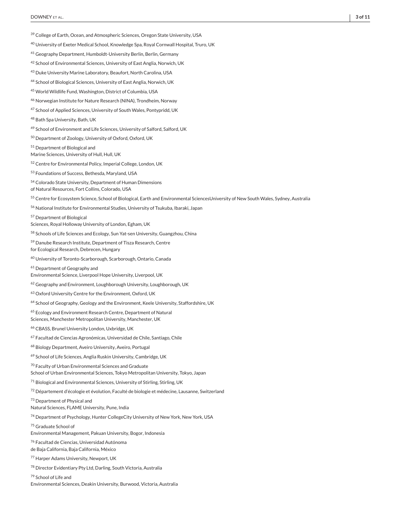- <span id="page-2-0"></span><sup>40</sup> University of Exeter Medical School, Knowledge Spa, Royal Cornwall Hospital, Truro, UK
- <sup>41</sup> Geography Department, Humboldt-University Berlin, Berlin, Germany
- <sup>42</sup> School of Environmental Sciences, University of East Anglia, Norwich, UK
- <sup>43</sup> Duke University Marine Laboratory, Beaufort, North Carolina, USA
- <sup>44</sup> School of Biological Sciences, University of East Anglia, Norwich, UK
- <sup>45</sup> World Wildlife Fund, Washington, District of Columbia, USA
- <sup>46</sup> Norwegian Institute for Nature Research (NINA), Trondheim, Norway
- <sup>47</sup> School of Applied Sciences, University of South Wales, Pontypridd, UK
- <sup>48</sup> Bath Spa University, Bath, UK
- 49 School of Environment and Life Sciences, University of Salford, Salford, UK
- <sup>50</sup> Department of Zoology, University of Oxford, Oxford, UK
- <sup>51</sup> Department of Biological and
- Marine Sciences, University of Hull, Hull, UK
- <sup>52</sup> Centre for Environmental Policy, Imperial College, London, UK
- <sup>53</sup> Foundations of Success, Bethesda, Maryland, USA
- <sup>54</sup> Colorado State University, Department of Human Dimensions
- of Natural Resources, Fort Collins, Colorado, USA
- 55 Centre for Ecosystem Science, School of Biological, Earth and Environmental SciencesUniversity of New South Wales, Sydney, Australia
- <sup>56</sup> National Institute for Environmental Studies, University of Tsukuba, Ibaraki, Japan
- <sup>57</sup> Department of Biological
- Sciences, Royal Holloway University of London, Egham, UK
- 58 Schools of Life Sciences and Ecology, Sun Yat-sen University, Guangzhou, China
- <sup>59</sup> Danube Research Institute, Department of Tisza Research, Centre
- for Ecological Research, Debrecen, Hungary
- <sup>60</sup> University of Toronto-Scarborough, Scarborough, Ontario, Canada
- <sup>61</sup> Department of Geography and
- Environmental Science, Liverpool Hope University, Liverpool, UK
- <sup>62</sup> Geography and Environment, Loughborough University, Loughborough, UK
- <sup>63</sup> Oxford University Centre for the Environment, Oxford, UK
- <sup>64</sup> School of Geography, Geology and the Environment, Keele University, Staffordshire, UK
- <sup>65</sup> Ecology and Environment Research Centre, Department of Natural Sciences, Manchester Metropolitan University, Manchester, UK
- <sup>66</sup> CBASS, Brunel University London, Uxbridge, UK
- <sup>67</sup> Facultad de Ciencias Agronómicas, Universidad de Chile, Santiago, Chile
- <sup>68</sup> Biology Department, Aveiro University, Aveiro, Portugal
- <sup>69</sup> School of Life Sciences, Anglia Ruskin University, Cambridge, UK
- <sup>70</sup> Faculty of Urban Environmental Sciences and Graduate
- School of Urban Environmental Sciences, Tokyo Metropolitan University, Tokyo, Japan
- $71$  Biological and Environmental Sciences, University of Stirling, Stirling, UK
- <sup>72</sup> Département d'écologie et évolution, Faculté de biologie et médecine, Lausanne, Switzerland
- 73 Department of Physical and
- Natural Sciences, FLAME University, Pune, India
- <sup>74</sup> Department of Psychology, Hunter CollegeCity University of New York, New York, USA
- <sup>75</sup> Graduate School of
- Environmental Management, Pakuan University, Bogor, Indonesia
- <sup>76</sup> Facultad de Ciencias, Universidad Autónoma
- de Baja California, Baja California, México
- <sup>77</sup> Harper Adams University, Newport, UK
- <sup>78</sup> Director Evidentiary Pty Ltd, Darling, South Victoria, Australia
- <sup>79</sup> School of Life and
- Environmental Sciences, Deakin University, Burwood, Victoria, Australia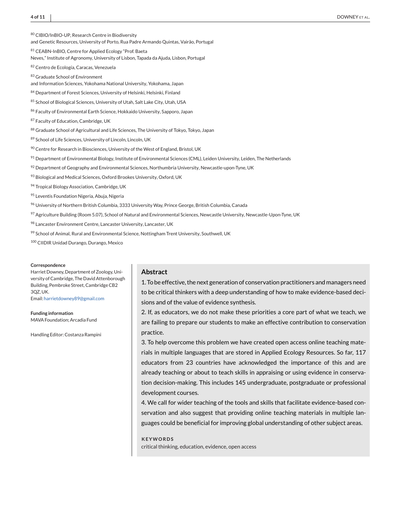<span id="page-3-0"></span>80 CIBIO/InBIO-UP, Research Centre in Biodiversity

and Genetic Resources, University of Porto, Rua Padre Armando Quintas, Vairão, Portugal

<sup>81</sup> CEABN-InBIO, Centre for Applied Ecology "Prof. Baeta

Neves," Institute of Agronomy, University of Lisbon, Tapada da Ajuda, Lisbon, Portugal

82 Centro de Ecología, Caracas, Venezuela

83 Graduate School of Environment

and Information Sciences, Yokohama National University, Yokohama, Japan

84 Department of Forest Sciences, University of Helsinki, Helsinki, Finland

85 School of Biological Sciences, University of Utah, Salt Lake City, Utah, USA

86 Faculty of Environmental Earth Science, Hokkaido University, Sapporo, Japan

87 Faculty of Education, Cambridge, UK

88 Graduate School of Agricultural and Life Sciences, The University of Tokyo, Tokyo, Japan

89 School of Life Sciences, University of Lincoln, Lincoln, UK

<sup>90</sup> Centre for Research in Biosciences, University of the West of England, Bristol, UK

91 Department of Environmental Biology, Institute of Environmental Sciences (CML), Leiden University, Leiden, The Netherlands

 $92$  Department of Geography and Environmental Sciences, Northumbria University, Newcastle-upon-Tyne, UK

93 Biological and Medical Sciences, Oxford Brookes University, Oxford, UK

94 Tropical Biology Association, Cambridge, UK

95 Leventis Foundation Nigeria, Abuja, Nigeria

<sup>96</sup> University of Northern British Columbia, 3333 University Way, Prince George, British Columbia, Canada

97 Agriculture Building (Room 5.07), School of Natural and Environmental Sciences, Newcastle University, Newcastle-Upon-Tyne, UK

98 Lancaster Environment Centre, Lancaster University, Lancaster, UK

99 School of Animal, Rural and Environmental Science, Nottingham Trent University, Southwell, UK

<sup>100</sup> CIIDIR Unidad Durango, Durango, Mexico

#### **Correspondence**

Harriet Downey, Department of Zoology, University of Cambridge, The David Attenborough Building, Pembroke Street, Cambridge CB2 3QZ, UK.

Email: [harrietdowney89@gmail.com](mailto:harrietdowney89@gmail.com)

**Funding information** MAVA Foundation; Arcadia Fund

Handling Editor: Costanza Rampini

#### **Abstract**

1. To be effective, the next generation of conservation practitioners and managers need to be critical thinkers with a deep understanding of how to make evidence-based decisions and of the value of evidence synthesis.

2. If, as educators, we do not make these priorities a core part of what we teach, we are failing to prepare our students to make an effective contribution to conservation practice.

3. To help overcome this problem we have created open access online teaching materials in multiple languages that are stored in Applied Ecology Resources. So far, 117 educators from 23 countries have acknowledged the importance of this and are already teaching or about to teach skills in appraising or using evidence in conservation decision-making. This includes 145 undergraduate, postgraduate or professional development courses.

4. We call for wider teaching of the tools and skills that facilitate evidence-based conservation and also suggest that providing online teaching materials in multiple languages could be beneficial for improving global understanding of other subject areas.

**KEYWORDS** critical thinking, education, evidence, open access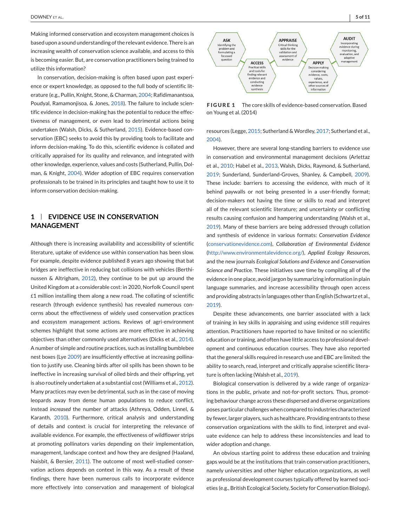<span id="page-4-0"></span>Making informed conservation and ecosystem management choices is based upon a sound understanding of the relevant evidence. There is an increasing wealth of conservation science available, and access to this is becoming easier. But, are conservation practitioners being trained to utilize this information?

In conservation, decision-making is often based upon past experience or expert knowledge, as opposed to the full body of scientific literature (e.g., Pullin, Knight, Stone, & Charman, [2004;](#page-9-0) Rafidimanantsoa, Poudyal, Ramamonjisoa, & Jones, [2018\)](#page-9-0). The failure to include scientific evidence in decision-making has the potential to reduce the effectiveness of management, or even lead to detrimental actions being undertaken (Walsh, Dicks, & Sutherland, [2015\)](#page-10-0). Evidence-based conservation (EBC) seeks to avoid this by providing tools to facilitate and inform decision-making. To do this, scientific evidence is collated and critically appraised for its quality and relevance, and integrated with other knowledge, experience, values and costs (Sutherland, Pullin, Dolman, & Knight, [2004\)](#page-9-0). Wider adoption of EBC requires conservation professionals to be trained in its principles and taught how to use it to inform conservation decision-making.

## **1 EVIDENCE USE IN CONSERVATION MANAGEMENT**

Although there is increasing availability and accessibility of scientific literature, uptake of evidence use within conservation has been slow. For example, despite evidence published 8 years ago showing that bat bridges are ineffective in reducing bat collisions with vehicles (Berthinussen & Altrigham, [2012\)](#page-9-0), they continue to be put up around the United Kingdom at a considerable cost: in 2020, Norfolk Council spent £1 million installing them along a new road. The collating of scientific research (through evidence synthesis) has revealed numerous concerns about the effectiveness of widely used conservation practices and ecosystem management actions. Reviews of agri-environment schemes highlight that some actions are more effective in achieving objectives than other commonly used alternatives (Dicks et al., [2014\)](#page-9-0). A number of simple and routine practices, such as installing bumblebee nest boxes (Lye [2009\)](#page-9-0) are insufficiently effective at increasing pollination to justify use. Cleaning birds after oil spills has been shown to be ineffective in increasing survival of oiled birds and their offspring, yet is also routinely undertaken at a substantial cost (Williams et al., [2012\)](#page-10-0). Many practices may even be detrimental, such as in the case of moving leopards away from dense human populations to reduce conflict, instead *increased* the number of attacks (Athreya, Odden, Linnel, & Karanth, [2010\)](#page-9-0). Furthermore, critical analysis and understanding of details and context is crucial for interpreting the relevance of available evidence. For example, the effectiveness of wildflower strips at promoting pollinators varies depending on their implementation, management, landscape context and how they are designed (Haaland, Naisbit, & Bersier, [2011\)](#page-9-0). The outcome of most well-studied conservation actions depends on context in this way. As a result of these findings, there have been numerous calls to incorporate evidence more effectively into conservation and management of biological



**FIGURE 1** The core skills of evidence-based conservation. Based on Young et al. (2014)

resources (Legge, [2015;](#page-9-0) Sutherland & Wordley, [2017;](#page-9-0) Sutherland et al., [2004\)](#page-9-0).

However, there are several long-standing barriers to evidence use in conservation and environmental management decisions (Arlettaz et al., [2010;](#page-9-0) Habel et al., [2013,](#page-9-0) Walsh, Dicks, Raymond, & Sutherland, [2019;](#page-10-0) Sunderland, Sunderland-Groves, Shanley, & Campbell, [2009\)](#page-9-0). These include: barriers to accessing the evidence, with much of it behind paywalls or not being presented in a user-friendly format; decision-makers not having the time or skills to read and interpret all of the relevant scientific literature; and uncertainty or conflicting results causing confusion and hampering understanding (Walsh et al., [2019\)](#page-10-0). Many of these barriers are being addressed through collation and synthesis of evidence in various formats: *Conservation Evidence* [\(conservationevidence.com\)](http://conservationevidence.com), *Collaboration of Environmental Evidence* [\(http://www.environmentalevidence.org/\)](http://www.environmentalevidence.org/), *Applied Ecology Resources*, and the new journals *Ecological Solutions and Evidence* and *Conservation Science and Practic*e. These initiatives save time by compiling all of the evidence in one place, avoid jargon by summarizing information in plain language summaries, and increase accessibility through open access and providing abstracts in languages other than English (Schwartz et al., [2019\)](#page-9-0).

Despite these advancements, one barrier associated with a lack of training in key skills in appraising and using evidence still requires attention. Practitioners have reported to have limited or no scientific education or training, and often have little access to professional development and continuous education courses. They have also reported that the general skills required in research use and EBC are limited: the ability to search, read, interpret and critically appraise scientific literature is often lacking (Walsh et al., [2019\)](#page-10-0).

Biological conservation is delivered by a wide range of organizations in the public, private and not-for-profit sectors. Thus, promoting behaviour change across these dispersed and diverse organizations poses particular challenges when compared to industries characterized by fewer, larger players, such as healthcare. Providing entrants to these conservation organizations with the skills to find, interpret and evaluate evidence can help to address these inconsistencies and lead to wider adoption and change.

An obvious starting point to address these education and training gaps would be at the institutions that train conservation practitioners, namely universities and other higher education organizations, as well as professional development courses typically offered by learned societies (e.g., British Ecological Society, Society for Conservation Biology).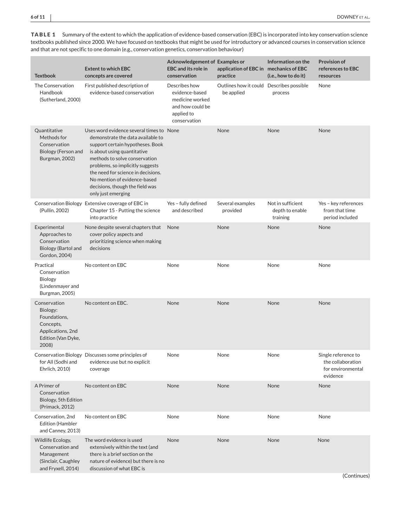<span id="page-5-0"></span>

| <b>TABLE 1</b> Summary of the extent to which the application of evidence-based conservation (EBC) is incorporated into key conservation science |
|--------------------------------------------------------------------------------------------------------------------------------------------------|
| textbooks published since 2000. We have focused on textbooks that might be used for introductory or advanced courses in conservation science     |
| and that are not specific to one domain (e.g., conservation genetics, conservation behaviour)                                                    |

| <b>Textbook</b>                                                                                           | <b>Extent to which EBC</b><br>concepts are covered                                                                                                                                                                                                                                                                                                   | <b>Acknowledgement of Examples or</b><br><b>EBC</b> and its role in<br>conservation                  | application of EBC in mechanics of EBC<br>practice     | Information on the<br>(i.e., how to do it)       | <b>Provision of</b><br>references to EBC<br>resources                     |
|-----------------------------------------------------------------------------------------------------------|------------------------------------------------------------------------------------------------------------------------------------------------------------------------------------------------------------------------------------------------------------------------------------------------------------------------------------------------------|------------------------------------------------------------------------------------------------------|--------------------------------------------------------|--------------------------------------------------|---------------------------------------------------------------------------|
| The Conservation<br>Handbook<br>(Sutherland, 2000)                                                        | First published description of<br>evidence-based conservation                                                                                                                                                                                                                                                                                        | Describes how<br>evidence-based<br>medicine worked<br>and how could be<br>applied to<br>conservation | Outlines how it could Describes possible<br>be applied | process                                          | None                                                                      |
| Quantitative<br>Methods for<br>Conservation<br>Biology (Ferson and<br>Burgman, 2002)                      | Uses word evidence several times to None<br>demonstrate the data available to<br>support certain hypotheses. Book<br>is about using quantitative<br>methods to solve conservation<br>problems, so implicitly suggests<br>the need for science in decisions.<br>No mention of evidence-based<br>decisions, though the field was<br>only just emerging |                                                                                                      | None                                                   | None                                             | None                                                                      |
| (Pullin, 2002)                                                                                            | Conservation Biology Extensive coverage of EBC in<br>Chapter 15 - Putting the science<br>into practice                                                                                                                                                                                                                                               | Yes - fully defined<br>and described                                                                 | Several examples<br>provided                           | Not in sufficient<br>depth to enable<br>training | Yes - key references<br>from that time<br>period included                 |
| Experimental<br>Approaches to<br>Conservation<br>Biology (Bartol and<br>Gordon, 2004)                     | None despite several chapters that<br>cover policy aspects and<br>prioritizing science when making<br>decisions                                                                                                                                                                                                                                      | None                                                                                                 | None                                                   | None                                             | None                                                                      |
| Practical<br>Conservation<br><b>Biology</b><br>(Lindenmayer and<br>Burgman, 2005)                         | No content on EBC                                                                                                                                                                                                                                                                                                                                    | None                                                                                                 | None                                                   | None                                             | None                                                                      |
| Conservation<br>Biology:<br>Foundations,<br>Concepts,<br>Applications, 2nd<br>Edition (Van Dyke,<br>2008) | No content on EBC.                                                                                                                                                                                                                                                                                                                                   | None                                                                                                 | None                                                   | None                                             | None                                                                      |
| for All (Sodhi and<br>Ehrlich, 2010)                                                                      | Conservation Biology Discusses some principles of<br>evidence use but no explicit<br>coverage                                                                                                                                                                                                                                                        | None                                                                                                 | None                                                   | None                                             | Single reference to<br>the collaboration<br>for environmental<br>evidence |
| A Primer of<br>Conservation<br>Biology, 5th Edition<br>(Primack, 2012)                                    | No content on EBC                                                                                                                                                                                                                                                                                                                                    | None                                                                                                 | None                                                   | None                                             | None                                                                      |
| Conservation, 2nd<br>Edition (Hambler<br>and Canney, 2013)                                                | No content on EBC                                                                                                                                                                                                                                                                                                                                    | None                                                                                                 | None                                                   | None                                             | None                                                                      |
| Wildlife Ecology,<br>Conservation and<br>Management<br>(Sinclair, Caughley<br>and Fryxell, 2014)          | The word evidence is used<br>extensively within the text (and<br>there is a brief section on the<br>nature of evidence) but there is no<br>discussion of what EBC is                                                                                                                                                                                 | None                                                                                                 | None                                                   | None                                             | None                                                                      |

(Continues)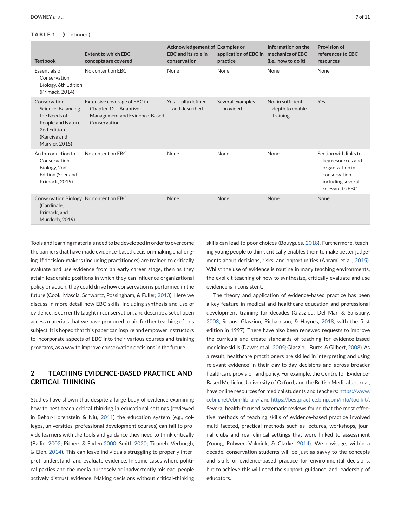## **TABLE 1** (Continued)

| <b>Textbook</b>                                                                                                                  | <b>Extent to which EBC</b><br>concepts are covered                                                     | Acknowledgement of Examples or<br><b>EBC</b> and its role in<br>conservation | application of EBC in mechanics of EBC<br>practice | Information on the<br>(i.e., how to do it)       | <b>Provision of</b><br>references to EBC<br>resources                                                                 |
|----------------------------------------------------------------------------------------------------------------------------------|--------------------------------------------------------------------------------------------------------|------------------------------------------------------------------------------|----------------------------------------------------|--------------------------------------------------|-----------------------------------------------------------------------------------------------------------------------|
| <b>Essentials of</b><br>Conservation<br>Biology, 6th Edition<br>(Primack, 2014)                                                  | No content on EBC                                                                                      | None                                                                         | None                                               | None                                             | None                                                                                                                  |
| Conservation<br><b>Science: Balancing</b><br>the Needs of<br>People and Nature,<br>2nd Edition<br>(Kareiva and<br>Marvier, 2015) | Extensive coverage of EBC in<br>Chapter 12 - Adaptive<br>Management and Evidence-Based<br>Conservation | Yes - fully defined<br>and described                                         | Several examples<br>provided                       | Not in sufficient<br>depth to enable<br>training | Yes                                                                                                                   |
| An Introduction to<br>Conservation<br>Biology, 2nd<br>Edition (Sher and<br>Primack, 2019)                                        | No content on EBC                                                                                      | None                                                                         | None                                               | None                                             | Section with links to<br>key resources and<br>organization in<br>conservation<br>including several<br>relevant to EBC |
| Conservation Biology No content on EBC<br>(Cardinale,<br>Primack, and<br>Murdoch, 2019)                                          |                                                                                                        | None                                                                         | None                                               | None                                             | <b>None</b>                                                                                                           |

Tools and learning materials need to be developed in order to overcome the barriers that have made evidence-based decision-making challenging. If decision-makers (including practitioners) are trained to critically evaluate and use evidence from an early career stage, then as they attain leadership positions in which they can influence organizational policy or action, they could drive how conservation is performed in the future (Cook, Mascia, Schwartz, Possingham, & Fuller, [2013\)](#page-9-0). Here we discuss in more detail how EBC skills, including synthesis and use of evidence, is currently taught in conservation, and describe a set of open access materials that we have produced to aid further teaching of this subject. It is hoped that this paper can inspire and empower instructors to incorporate aspects of EBC into their various courses and training programs, as a way to improve conservation decisions in the future.

## **2 TEACHING EVIDENCE-BASED PRACTICE AND CRITICAL THINKING**

Studies have shown that despite a large body of evidence examining how to best teach critical thinking in educational settings (reviewed in Behar-Horenstein & Niu, [2011\)](#page-9-0) the education system (e.g., colleges, universities, professional development courses) can fail to provide learners with the tools and guidance they need to think critically (Bailin, [2002;](#page-9-0) Pithers & Soden [2000;](#page-9-0) Smith [2020;](#page-9-0) Tiruneh, Verburgh, & Elen, [2014\)](#page-9-0). This can leave individuals struggling to properly interpret, understand, and evaluate evidence. In some cases where political parties and the media purposely or inadvertently mislead, people actively distrust evidence. Making decisions without critical-thinking

skills can lead to poor choices (Bouygues, [2018\)](#page-9-0). Furthermore, teaching young people to think critically enables them to make better judgements about decisions, risks, and opportunities (Abrami et al., [2015\)](#page-9-0). Whilst the use of evidence is routine in many teaching environments, the explicit teaching of how to synthesize, critically evaluate and use evidence is inconsistent.

The theory and application of evidence-based practice has been a key feature in medical and healthcare education and professional development training for decades (Glasziou, Del Mar, & Salisbury, [2003,](#page-9-0) Straus, Glasziou, Richardson, & Haynes, [2018,](#page-9-0) with the first edition in 1997). There have also been renewed requests to improve the curricula and create standards of teaching for evidence-based medicine skills (Dawes et al., [2005;](#page-9-0) Glasziou, Burts, & Gilbert, [2008\)](#page-9-0). As a result, healthcare practitioners are skilled in interpreting and using relevant evidence in their day-to-day decisions and across broader healthcare provision and policy. For example, the Centre for Evidence-Based Medicine, University of Oxford, and the British Medical Journal, have online resources for medical students and teachers: [https://www.](https://www.cebm.net/ebm-library/) [cebm.net/ebm-library/](https://www.cebm.net/ebm-library/) and [https://bestpractice.bmj.com/info/toolkit/.](https://bestpractice.bmj.com/info/toolkit/) Several health-focused systematic reviews found that the most effective methods of teaching skills of evidence-based practice involved multi-faceted, practical methods such as lectures, workshops, journal clubs and real clinical settings that were linked to assessment (Young, Rohwer, Volmink, & Clarke, [2014\)](#page-10-0). We envisage, within a decade, conservation students will be just as savvy to the concepts and skills of evidence-based practice for environmental decisions, but to achieve this will need the support, guidance, and leadership of educators.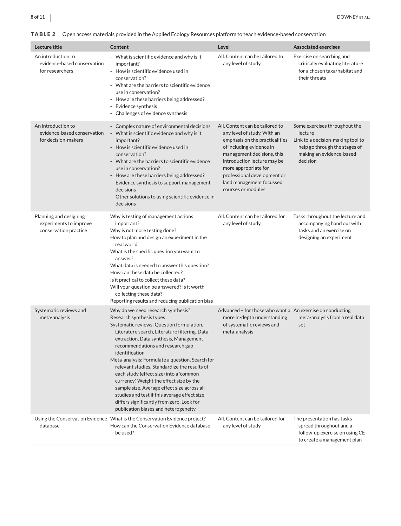<span id="page-7-0"></span>

| Lecture title                                                             | Content                                                                                                                                                                                                                                                                                                                                                                                                                                                                                                                                                                                                                                    | Level                                                                                                                                                                                                                                                                                              | <b>Associated exercises</b>                                                                                                                            |
|---------------------------------------------------------------------------|--------------------------------------------------------------------------------------------------------------------------------------------------------------------------------------------------------------------------------------------------------------------------------------------------------------------------------------------------------------------------------------------------------------------------------------------------------------------------------------------------------------------------------------------------------------------------------------------------------------------------------------------|----------------------------------------------------------------------------------------------------------------------------------------------------------------------------------------------------------------------------------------------------------------------------------------------------|--------------------------------------------------------------------------------------------------------------------------------------------------------|
| An introduction to<br>evidence-based conservation<br>for researchers      | - What is scientific evidence and why is it<br>important?<br>How is scientific evidence used in<br>$\sim$<br>conservation?<br>- What are the barriers to scientific evidence<br>use in conservation?<br>How are these barriers being addressed?<br>- Evidence synthesis<br>- Challenges of evidence synthesis                                                                                                                                                                                                                                                                                                                              | All. Content can be tailored to<br>any level of study                                                                                                                                                                                                                                              | Exercise on searching and<br>critically evaluating literature<br>for a chosen taxa/habitat and<br>their threats                                        |
| An introduction to<br>evidence-based conservation<br>for decision-makers  | - Complex nature of environmental decisions<br>- What is scientific evidence and why is it<br>important?<br>- How is scientific evidence used in<br>conservation?<br>- What are the barriers to scientific evidence<br>use in conservation?<br>- How are these barriers being addressed?<br>- Evidence synthesis to support management<br>decisions<br>Other solutions to using scientific evidence in<br>decisions                                                                                                                                                                                                                        | All. Content can be tailored to<br>any level of study. With an<br>emphasis on the practicalities<br>of including evidence in<br>management decisions, this<br>introduction lecture may be<br>more appropriate for<br>professional development or<br>land management focussed<br>courses or modules | Some exercises throughout the<br>lecture<br>Link to a decision-making tool to<br>help go through the stages of<br>making an evidence-based<br>decision |
| Planning and designing<br>experiments to improve<br>conservation practice | Why is testing of management actions<br>important?<br>Why is not more testing done?<br>How to plan and design an experiment in the<br>real world:<br>What is the specific question you want to<br>answer?<br>What data is needed to answer this question?<br>How can these data be collected?<br>Is it practical to collect these data?<br>Will your question be answered? Is it worth<br>collecting these data?<br>Reporting results and reducing publication bias                                                                                                                                                                        | All. Content can be tailored for<br>any level of study                                                                                                                                                                                                                                             | Tasks throughout the lecture and<br>accompanying hand out with<br>tasks and an exercise on<br>designing an experiment                                  |
| Systematic reviews and<br>meta-analysis                                   | Why do we need research synthesis?<br>Research synthesis types<br>Systematic reviews: Question formulation,<br>Literature search, Literature filtering, Data<br>extraction, Data synthesis, Management<br>recommendations and research gap<br>identification<br>Meta-analysis: Formulate a question, Search for<br>relevant studies. Standardize the results of<br>each study (effect size) into a 'common<br>currency', Weight the effect size by the<br>sample size, Average effect size across all<br>studies and test if this average effect size<br>differs significantly from zero, Look for<br>publication biases and heterogeneity | Advanced - for those who want a An exercise on conducting<br>more in-depth understanding<br>of systematic reviews and<br>meta-analysis                                                                                                                                                             | meta-analysis from a real data<br>set                                                                                                                  |
| database                                                                  | Using the Conservation Evidence What is the Conservation Evidence project?<br>How can the Conservation Evidence database<br>be used?                                                                                                                                                                                                                                                                                                                                                                                                                                                                                                       | All. Content can be tailored for<br>any level of study                                                                                                                                                                                                                                             | The presentation has tasks<br>spread throughout and a<br>follow-up exercise on using CE<br>to create a management plan                                 |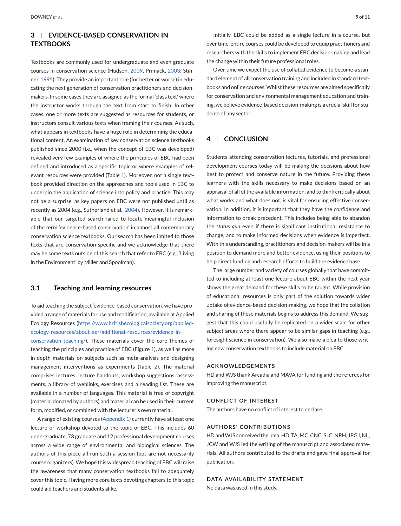## **3 EVIDENCE-BASED CONSERVATION IN TEXTBOOKS**

Textbooks are commonly used for undergraduate and even graduate courses in conservation science (Hudson, [2009,](#page-9-0) Primack, [2003;](#page-9-0) Stinner, [1995\)](#page-9-0). They provide an important role (for better or worse) in educating the next generation of conservation practitioners and decisionmakers. In some cases they are assigned as the formal 'class text' where the instructor works through the text from start to finish. In other cases, one or more texts are suggested as resources for students, or instructors consult various texts when framing their courses. As such, what appears in textbooks have a huge role in determining the educational content. An examination of key conservation science textbooks published since 2000 (i.e., when the concept of EBC was developed) revealed very few examples of where the principles of EBC had been defined and introduced as a specific topic or where examples of relevant resources were provided (Table [1\)](#page-5-0). Moreover, not a single textbook provided direction on the approaches and tools used in EBC to underpin the application of science into policy and practice. This may not be a surprise, as key papers on EBC were not published until as recently as 2004 (e.g., Sutherland et al., [2004\)](#page-9-0). However, it is remarkable that our targeted search failed to locate meaningful inclusion of the term 'evidence-based conservation' in almost all contemporary conservation science textbooks. Our search has been limited to those texts that are conservation-specific and we acknowledge that there may be some texts outside of this search that refer to EBC (e.g., 'Living in the Environment' by Miller and Spoolman).

## **3.1 Teaching and learning resources**

To aid teaching the subject 'evidence-based conservation', we have provided a range of materials for use and modification, available at Applied Ecology Resources [\(https://www.britishecologicalsociety.org/applied](https://www.britishecologicalsociety.org/applied-ecology-resources/about-aer/additional-resources/evidence-in-conservation-teaching/)[ecology-resources/about-aer/additional-resources/evidence-in-](https://www.britishecologicalsociety.org/applied-ecology-resources/about-aer/additional-resources/evidence-in-conservation-teaching/)

[conservation-teaching/\)](https://www.britishecologicalsociety.org/applied-ecology-resources/about-aer/additional-resources/evidence-in-conservation-teaching/). These materials cover the core themes of teaching the principles and practice of EBC (Figure [1\)](#page-4-0), as well as more in-depth materials on subjects such as meta-analysis and designing management interventions as experiments (Table [2\)](#page-7-0). The material comprises lectures, lecture handouts, workshop suggestions, assessments, a library of weblinks, exercises and a reading list. These are available in a number of languages. This material is free of copyright (material donated by authors) and material can be used in their current form, modified, or combined with the lecturer's own material.

A range of existing courses (Appendix 1) currently have at least one lecture or workshop devoted to the topic of EBC. This includes 60 undergraduate, 73 graduate and 12 professional development courses across a wide range of environmental and biological sciences. The authors of this piece all run such a session (but are not necessarily course organizers). We hope this widespread teaching of EBC will raise the awareness that many conservation textbooks fail to adequately cover this topic. Having more core texts devoting chapters to this topic could aid teachers and students alike.

Initially, EBC could be added as a single lecture in a course, but over time, entire courses could be developed to equip practitioners and researchers with the skills to implement EBC decision-making and lead the change within their future professional roles.

Over time we expect the use of collated evidence to become a standard element of all conservation training and included in standard textbooks and online courses.Whilst these resources are aimed specifically for conservation and environmental management education and training, we believe evidence-based decision-making is a crucial skill for students of any sector.

## **4 CONCLUSION**

Students attending conservation lectures, tutorials, and professional development courses today will be making the decisions about how best to protect and conserve nature in the future. Providing these learners with the skills necessary to make decisions based on an appraisal of all of the available information, and to think critically about what works and what does not, is vital for ensuring effective conservation. In addition, it is important that they have the confidence and information to break precedent. This includes being able to abandon the *status quo* even if there is significant institutional resistance to change, and to make informed decisions when evidence is imperfect. With this understanding, practitioners and decision-makers will be in a position to demand more and better evidence, using their positions to help direct funding and research efforts to build the evidence base.

The large number and variety of courses globally that have committed to including at least one lecture about EBC within the next year shows the great demand for these skills to be taught. While provision of educational resources is only part of the solution towards wider uptake of evidence-based decision-making, we hope that the collation and sharing of these materials begins to address this demand. We suggest that this could usefully be replicated on a wider scale for other subject areas where there appear to be similar gaps in teaching (e.g., foresight science in conservation). We also make a plea to those writing new conservation textbooks to include material on EBC.

#### **ACKNOWLEDGEMENTS**

HD and WJS thank Arcadia and MAVA for funding and the referees for improving the manuscript.

## **CONFLICT OF INTEREST**

The authors have no conflict of interest to declare.

## **AUTHORS' CONTRIBUTIONS**

HD andWJS conceived the idea. HD, TA, MC, CNC, SJC, NRH, JPGJ, NL, JCW and WJS led the writing of the manuscript and associated materials. All authors contributed to the drafts and gave final approval for publication.

## **DATA AVAILABILITY STATEMENT**

No data was used in this study.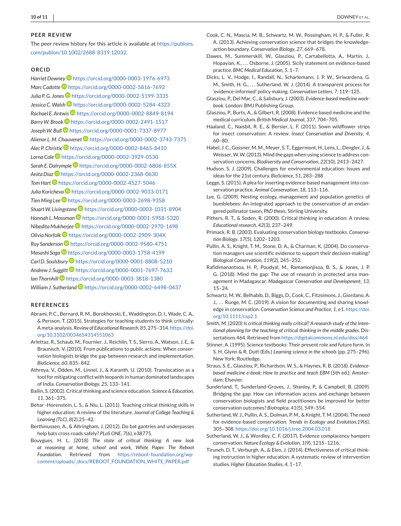#### <span id="page-9-0"></span>**PEER REVIEW**

The peer review history for this article is available at [https://publons.](https://publons.com/publon/10.1002/2688-8319.12032) [com/publon/10.1002/2688-8319.12032.](https://publons.com/publon/10.1002/2688-8319.12032)

## **ORCID**

*Harriet Downe[y](https://orcid.org/0000-0003-1976-6973)* <https://orcid.org/0000-0003-1976-6973> *Marc Cadotte* <https://orcid.org/0000-0002-5816-7693> *Julia P. G. Jone[s](https://orcid.org/0000-0002-5199-3335)* <https://orcid.org/0000-0002-5199-3335> *Jessica C.Walsh* <https://orcid.org/0000-0002-5284-4323> *Rachael E. Antwis* <https://orcid.org/0000-0002-8849-8194> *BarryW. Broo[k](https://orcid.org/0000-0002-2491-1517)* <https://orcid.org/0000-0002-2491-1517> *JosephW. Bull* <https://orcid.org/0000-0001-7337-8977> *Alienor L. M. Chauvenet* <https://orcid.org/0000-0002-3743-7375> *Alec P. Christie* <https://orcid.org/0000-0002-8465-8410> *Lorna Col[e](https://orcid.org/0000-0002-3929-0530)* <https://orcid.org/0000-0002-3929-0530> *Sarah E. Dalrymple* <https://orcid.org/0000-0002-6806-855X> *Anita Diaz* <https://orcid.org/0000-0002-2368-0630> *Tom Hart* <https://orcid.org/0000-0002-4527-5046> Julia Koricheva<sup>D</sup> <https://orcid.org/0000-0002-9033-0171> *Tien Ming Lee* <https://orcid.org/0000-0003-2698-9358> *StuartW. Livingston[e](https://orcid.org/0000-0003-1031-8904)* <https://orcid.org/0000-0003-1031-8904> *Hannah L. Mossman* <https://orcid.org/0000-0001-5958-5320> *Nibedita Mukherjee* <https://orcid.org/0000-0002-2970-1498> *Olivia Norfolk* <https://orcid.org/0000-0002-2909-304X> *Roy Sanderson* <https://orcid.org/0000-0002-9580-4751> *Masashi Soga* <https://orcid.org/0000-0003-1758-4199> *Carl D. Soulsbury* <https://orcid.org/0000-0001-8808-5210> *Andrew J. Suggit[t](https://orcid.org/0000-0001-7697-7633)* <https://orcid.org/0000-0001-7697-7633> *Ian Thornhill* <https://orcid.org/0000-0003-3818-1380> *William J. Sutherlan[d](https://orcid.org/0000-0002-6498-0437)* <https://orcid.org/0000-0002-6498-0437>

#### **REFERENCES**

- Abrami, P. C., Bernard, R. M., Borokhovski, E., Waddington, D. I., Wade, C. A., & Persson, T. (2015). Strategies for teaching students to think critically: A meta-analysis. *Review of Educational Research*, *85*, 275–314. [https://doi.](https://doi.org/10.3102/0034654314551063) [org/10.3102/0034654314551063](https://doi.org/10.3102/0034654314551063)
- Arlettaz, R., Schaub, M., Fournier, J., Reichlin, T. S., Sierro, A., Watson, J. E., & Braunisch, V. (2010). From publications to public actions: When conservation biologists bridge the gap between research and implementation. *BioScience*, *60*, 835–842.
- Athreya, V., Odden, M., Linnel, J., & Karanth, U. (2010). Translocation as a tool for mitigating conflict with leopards in human dominated landscapes of India. *Conservation Biology*, *25*, 133–141.
- Bailin, S. (2002). Critical thinking and science education. *Science & Education*, *11*, 361–375.
- Behar -Horenstein, L. S., & Niu, L. (2011). Teaching critical thinking skills in higher education: A review of the literature. *Journal of College Teaching & Learning (TLC)*, *8*(2).25–42.
- Berthinussen, A., & Altringham, J. (2012). Do bat gantries and underpasses help bats cross roads safely? *PLoS ONE*, *7*(6), e38775.
- Bouygues, H. L. (2018) *The state of critical thinking: A new look at reasoning at home, school and work, White Paper. The Reboot Foundation*. Retrieved from [https://reboot-foundation.org/wp](https://reboot-foundation.org/wp-content/uploads/_docs/REBOOT_FOUNDATION_WHITE_PAPER.pdf)[content/uploads/\\_docs/REBOOT\\_FOUNDATION\\_WHITE\\_PAPER.pdf](https://reboot-foundation.org/wp-content/uploads/_docs/REBOOT_FOUNDATION_WHITE_PAPER.pdf)
- Cook, C. N., Mascia, M. B., Schwartz, M. W., Possingham, H. P., & Fuller, R. A. (2013). Achieving conservation science that bridges the knowledgeaction boundary. *Conservation Biology*, *27*, 669–678.
- Dawes, M., Summerskill, W., Glasziou, P., Cartabellotta, A., Martin, J., Hopayian, K., ... Osborne, J. (2005). Sicily statement on evidence-based practice. *BMC Medical Education*, *5*, 1–7.
- Dicks, L. V., Hodge, I., Randall, N., Scharlemann, J. P. W., Siriwardena, G. M., Smith, H. G., ... Sutherland, W. J. (2014). A transparent process for 'evidence-informed' policy making. *Conservation Letters*, *7*, 119–125.
- Glasziou, P., Del Mar, C., & Salisbury, J. (2003). *Evidence-based medicine workbook*. London: BMJ Publishing Group.
- Glasziou, P., Burts, A., & Gilbert, R. (2008). Evidence based medicine and the medical curriculum. *British Medical Journal*, *337*, 704–705.
- Haaland, C., Naisbit, R. E., & Bersier, L. F. (2011). Sown wildflower strips for insect conservation: A review. *Insect Conservation and Diversity*, *4*, 60–80.
- Habel, J. C., Gossner, M. M., Meyer, S. T., Eggermont, H., Lens, L., Dengler, J., & Weisser,W.W. (2013). Mind the gaps when using science to address conservation concerns. *Biodiversity and Conservation*, *22*(10), 2413–2427.
- Hudson, S. J. (2009). Challenges for environmental education: Issues and ideas for the 21st century. *BioScience*, *51*, 283–288
- Legge, S. (2015). A plea for inserting evidence-based management into conservation practice. *Animal Conservation*, *18*, 113–116.
- Lye, G. (2009). Nesting ecology, management and population genetics of bumblebees: An integrated approach to the conservation of an endangered pollinator taxon, *PhD thesis*, Stirling University.
- Pithers, R. T., & Soden, R. (2000). Critical thinking in education: A review. *Educational research*, *42*(3), 237–249.
- Primack, R. B. (2003). Evaluating conservation biology textbooks. *Conservation Biology*, *17*(5), 1202–1203.
- Pullin, A. S., Knight, T. M., Stone, D. A., & Charman, K. (2004). Do conservation managers use scientific evidence to support their decision-making? *Biological Conservation*, *119*(2), 245–252.
- Rafidimanantsoa, H. P., Poudyal, M., Ramamonjisoa, B. S., & Jones, J. P. G. (2018). Mind the gap: The use of research in protected area management in Madagascar. *Madagascar Conservation and Development*, *13*, 15–24.
- Schwartz, M. W., Belhabib, D., Biggs, D., Cook, C., Fitzsimons, J., Giordano, A. J., ... Runge, M. C. (2019). A vision for documenting and sharing knowledge in conservation. *Conservation Science and Practice*, *1*, e1. [https://doi.](https://doi.org/10.1111/csp2.1) [org/10.1111/csp2.1](https://doi.org/10.1111/csp2.1)
- Smith, M. (2020) *Is critical thinking really critical? A research study of the intentional planning for the teaching of critical thinking in the middle grades*. Dissertations 464. Retrieved from <https://digitalcommons.nl.edu/diss/464>
- Stinner, A. (1995). Science textbooks: Their present role and future form. In S. H. Glynn & R. Dutt (Eds.) *Learning science in the schools* (pp. 275–296). New York: Routledge.
- Straus, S. E., Glasziou, P., Richardson, W. S., & Haynes, R. B. (2018). *Evidencebased medicine e-book: How to practice and teach EBM* (5th ed.). Amsterdam: Elsevier.
- Sunderland, T., Sunderland-Groves, J., Shanley, P., & Campbell, B. (2009). Bridging the gap: How can information access and exchange between conservation biologists and field practitioners be improved for better conservation outcomes? *Biotropica*, *41*(5), 549–554.
- Sutherland,W. J., Pullin, A. S., Dolman, P. M., & Knight, T. M. (2004). The need for evidence-based conservation. *Trends in Ecology and Evolution*,*19*(6), 305–308. <https://doi.org/10.1016/j.tree.2004.03.018>
- Sutherland, W. J., & Wordley, C. F. (2017). Evidence complacency hampers conservation. *Nature Ecology & Evolution*, *1*(9), 1215–1216.
- Tiruneh, D. T., Verburgh, A., & Elen, J. (2014). Effectiveness of critical thinking instruction in higher education: A systematic review of intervention studies. *Higher Education Studies*, *4*, 1–17.